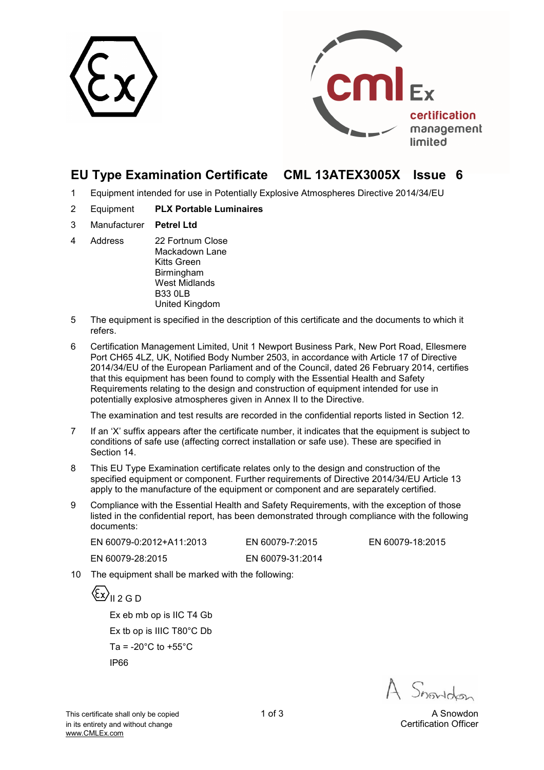



## **EU Type Examination Certificate CML 13ATEX3005X Issue 6**

- 1 Equipment intended for use in Potentially Explosive Atmospheres Directive 2014/34/EU
- 2 Equipment **PLX Portable Luminaires**
- 3 Manufacturer **Petrel Ltd**
- 4 Address 22 Fortnum Close Mackadown Lane Kitts Green **Birmingham** West Midlands B33 0LB United Kingdom
- 5 The equipment is specified in the description of this certificate and the documents to which it refers.
- 6 Certification Management Limited, Unit 1 Newport Business Park, New Port Road, Ellesmere Port CH65 4LZ, UK, Notified Body Number 2503, in accordance with Article 17 of Directive 2014/34/EU of the European Parliament and of the Council, dated 26 February 2014, certifies that this equipment has been found to comply with the Essential Health and Safety Requirements relating to the design and construction of equipment intended for use in potentially explosive atmospheres given in Annex II to the Directive.

The examination and test results are recorded in the confidential reports listed in Section 12.

- 7 If an 'X' suffix appears after the certificate number, it indicates that the equipment is subject to conditions of safe use (affecting correct installation or safe use). These are specified in Section 14.
- 8 This EU Type Examination certificate relates only to the design and construction of the specified equipment or component. Further requirements of Directive 2014/34/EU Article 13 apply to the manufacture of the equipment or component and are separately certified.
- 9 Compliance with the Essential Health and Safety Requirements, with the exception of those listed in the confidential report, has been demonstrated through compliance with the following documents:

| EN 60079-0:2012+A11:2013 | EN 60079-7:2015  |
|--------------------------|------------------|
| EN 60079-28:2015         | EN 60079-31:2014 |

EN 60079-18:2015

10 The equipment shall be marked with the following:

 $\langle \xi_{\text{X}} \rangle_{\text{II 2 G D}}$ 

Ex eb mb op is IIC T4 Gb Ex tb op is IIIC T80°C Db Ta =  $-20^{\circ}$ C to  $+55^{\circ}$ C IP66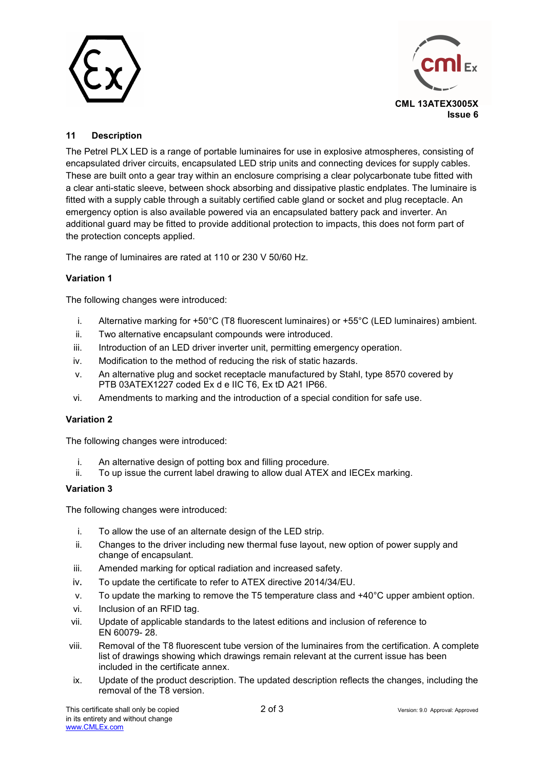



### **11 Description**

The Petrel PLX LED is a range of portable luminaires for use in explosive atmospheres, consisting of encapsulated driver circuits, encapsulated LED strip units and connecting devices for supply cables. These are built onto a gear tray within an enclosure comprising a clear polycarbonate tube fitted with a clear anti-static sleeve, between shock absorbing and dissipative plastic endplates. The luminaire is fitted with a supply cable through a suitably certified cable gland or socket and plug receptacle. An emergency option is also available powered via an encapsulated battery pack and inverter. An additional guard may be fitted to provide additional protection to impacts, this does not form part of the protection concepts applied.

The range of luminaires are rated at 110 or 230 V 50/60 Hz.

### **Variation 1**

The following changes were introduced:

- i. Alternative marking for +50°C (T8 fluorescent luminaires) or +55°C (LED luminaires) ambient.
- ii. Two alternative encapsulant compounds were introduced.
- iii. Introduction of an LED driver inverter unit, permitting emergency operation.
- iv. Modification to the method of reducing the risk of static hazards.
- v. An alternative plug and socket receptacle manufactured by Stahl, type 8570 covered by PTB 03ATEX1227 coded Ex d e IIC T6, Ex tD A21 IP66.
- vi. Amendments to marking and the introduction of a special condition for safe use.

### **Variation 2**

The following changes were introduced:

- i. An alternative design of potting box and filling procedure.
- ii. To up issue the current label drawing to allow dual ATEX and IECEx marking.

### **Variation 3**

The following changes were introduced:

- i. To allow the use of an alternate design of the LED strip.
- ii. Changes to the driver including new thermal fuse layout, new option of power supply and change of encapsulant.
- iii. Amended marking for optical radiation and increased safety.
- iv. To update the certificate to refer to ATEX directive 2014/34/EU.
- v. To update the marking to remove the T5 temperature class and +40°C upper ambient option.
- vi. Inclusion of an RFID tag.
- vii. Update of applicable standards to the latest editions and inclusion of reference to EN 60079- 28.
- viii. Removal of the T8 fluorescent tube version of the luminaires from the certification. A complete list of drawings showing which drawings remain relevant at the current issue has been included in the certificate annex.
- ix. Update of the product description. The updated description reflects the changes, including the removal of the T8 version.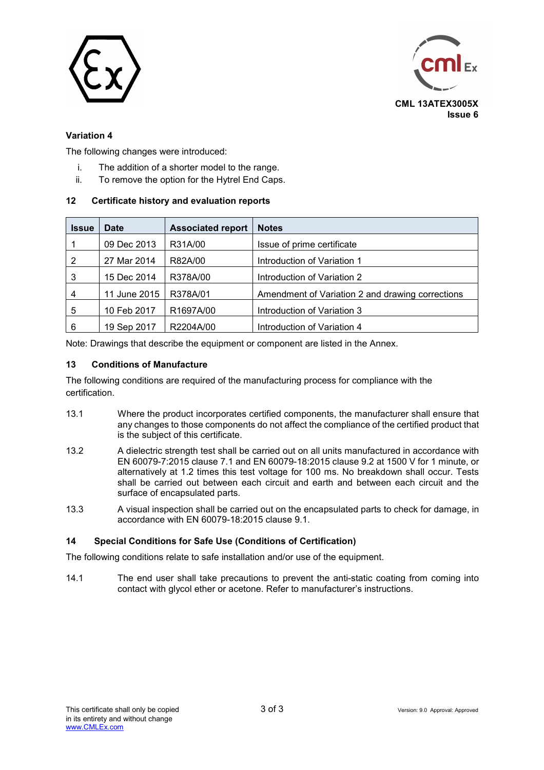



## **Variation 4**

The following changes were introduced:

- i. The addition of a shorter model to the range.
- ii. To remove the option for the Hytrel End Caps.

## **12 Certificate history and evaluation reports**

| <b>Issue</b> | <b>Date</b>  | <b>Associated report</b> | <b>Notes</b>                                     |
|--------------|--------------|--------------------------|--------------------------------------------------|
|              | 09 Dec 2013  | R31A/00                  | Issue of prime certificate                       |
| 2            | 27 Mar 2014  | R82A/00                  | Introduction of Variation 1                      |
| 3            | 15 Dec 2014  | R378A/00                 | Introduction of Variation 2                      |
| 4            | 11 June 2015 | R378A/01                 | Amendment of Variation 2 and drawing corrections |
| 5            | 10 Feb 2017  | R1697A/00                | Introduction of Variation 3                      |
| 6            | 19 Sep 2017  | R2204A/00                | Introduction of Variation 4                      |

Note: Drawings that describe the equipment or component are listed in the Annex.

### **13 Conditions of Manufacture**

The following conditions are required of the manufacturing process for compliance with the certification.

- 13.1 Where the product incorporates certified components, the manufacturer shall ensure that any changes to those components do not affect the compliance of the certified product that is the subject of this certificate.
- 13.2 A dielectric strength test shall be carried out on all units manufactured in accordance with EN 60079-7:2015 clause 7.1 and EN 60079-18:2015 clause 9.2 at 1500 V for 1 minute, or alternatively at 1.2 times this test voltage for 100 ms. No breakdown shall occur. Tests shall be carried out between each circuit and earth and between each circuit and the surface of encapsulated parts.
- 13.3 A visual inspection shall be carried out on the encapsulated parts to check for damage, in accordance with EN 60079-18:2015 clause 9.1.

### **14 Special Conditions for Safe Use (Conditions of Certification)**

The following conditions relate to safe installation and/or use of the equipment.

14.1 The end user shall take precautions to prevent the anti-static coating from coming into contact with glycol ether or acetone. Refer to manufacturer's instructions.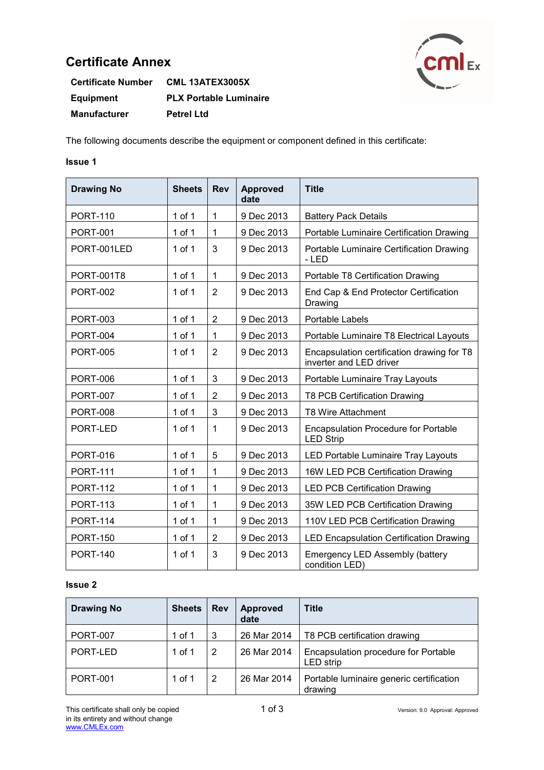## **Certificate Annex**



| <b>Certificate Number</b> | <b>CML 13ATEX3005X</b>        |
|---------------------------|-------------------------------|
| Equipment                 | <b>PLX Portable Luminaire</b> |
| <b>Manufacturer</b>       | <b>Petrel Ltd</b>             |

The following documents describe the equipment or component defined in this certificate:

### **Issue 1**

| <b>Drawing No</b> | <b>Sheets</b> | <b>Rev</b>     | <b>Approved</b><br>date | <b>Title</b>                                                          |
|-------------------|---------------|----------------|-------------------------|-----------------------------------------------------------------------|
| <b>PORT-110</b>   | 1 of 1        | 1              | 9 Dec 2013              | <b>Battery Pack Details</b>                                           |
| <b>PORT-001</b>   | 1 of 1        | $\mathbf{1}$   | 9 Dec 2013              | Portable Luminaire Certification Drawing                              |
| PORT-001LED       | $1$ of $1$    | 3              | 9 Dec 2013              | Portable Luminaire Certification Drawing<br>- LED                     |
| PORT-001T8        | 1 of 1        | $\mathbf{1}$   | 9 Dec 2013              | Portable T8 Certification Drawing                                     |
| <b>PORT-002</b>   | $1$ of $1$    | $\overline{2}$ | 9 Dec 2013              | End Cap & End Protector Certification<br>Drawing                      |
| <b>PORT-003</b>   | 1 of 1        | $\overline{2}$ | 9 Dec 2013              | Portable Labels                                                       |
| <b>PORT-004</b>   | 1 of 1        | $\mathbf{1}$   | 9 Dec 2013              | Portable Luminaire T8 Electrical Layouts                              |
| <b>PORT-005</b>   | $1$ of $1$    | $\overline{2}$ | 9 Dec 2013              | Encapsulation certification drawing for T8<br>inverter and LED driver |
| <b>PORT-006</b>   | 1 of 1        | 3              | 9 Dec 2013              | Portable Luminaire Tray Layouts                                       |
| <b>PORT-007</b>   | $1$ of $1$    | $\overline{2}$ | 9 Dec 2013              | <b>T8 PCB Certification Drawing</b>                                   |
| <b>PORT-008</b>   | $1$ of $1$    | 3              | 9 Dec 2013              | <b>T8 Wire Attachment</b>                                             |
| PORT-LED          | $1$ of $1$    | 1              | 9 Dec 2013              | <b>Encapsulation Procedure for Portable</b><br><b>LED Strip</b>       |
| <b>PORT-016</b>   | $1$ of $1$    | 5              | 9 Dec 2013              | LED Portable Luminaire Tray Layouts                                   |
| <b>PORT-111</b>   | 1 of 1        | $\mathbf{1}$   | 9 Dec 2013              | 16W LED PCB Certification Drawing                                     |
| <b>PORT-112</b>   | 1 of 1        | $\mathbf{1}$   | 9 Dec 2013              | <b>LED PCB Certification Drawing</b>                                  |
| <b>PORT-113</b>   | 1 of 1        | $\mathbf{1}$   | 9 Dec 2013              | 35W LED PCB Certification Drawing                                     |
| <b>PORT-114</b>   | $1$ of $1$    | 1              | 9 Dec 2013              | 110V LED PCB Certification Drawing                                    |
| <b>PORT-150</b>   | $1$ of $1$    | $\overline{2}$ | 9 Dec 2013              | <b>LED Encapsulation Certification Drawing</b>                        |
| <b>PORT-140</b>   | $1$ of $1$    | 3              | 9 Dec 2013              | <b>Emergency LED Assembly (battery</b><br>condition LED)              |

### **Issue 2**

| <b>Drawing No</b> | <b>Sheets</b> | <b>Rev</b> | <b>Approved</b><br>date | <b>Title</b>                                             |
|-------------------|---------------|------------|-------------------------|----------------------------------------------------------|
| <b>PORT-007</b>   | 1 of 1        | 3          | 26 Mar 2014             | T8 PCB certification drawing                             |
| PORT-LED          | 1 of 1        | 2          | 26 Mar 2014             | Encapsulation procedure for Portable<br><b>LED</b> strip |
| <b>PORT-001</b>   | 1 of 1        |            | 26 Mar 2014             | Portable luminaire generic certification<br>drawing      |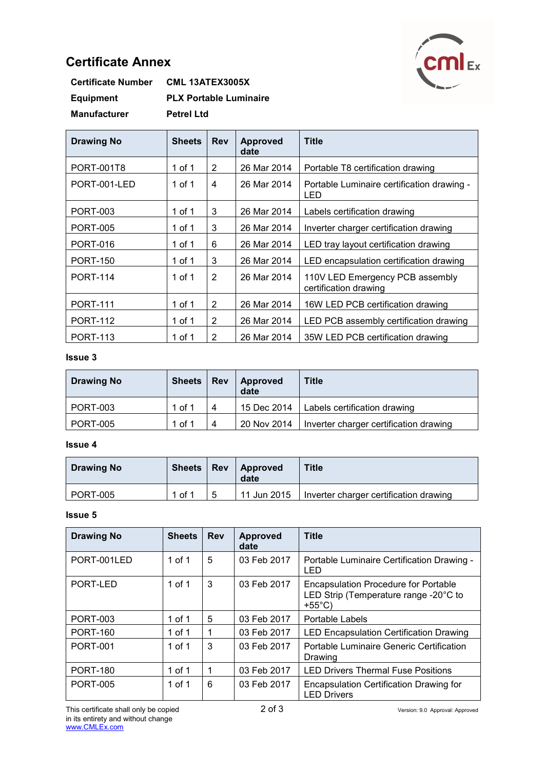# **Certificate Annex**

| $\mathsf{cml}_{\mathsf{Ex}}$ |  |
|------------------------------|--|
|                              |  |

| <b>Certificate Number</b> | <b>CML 13ATEX3005X</b>        |
|---------------------------|-------------------------------|
| <b>Equipment</b>          | <b>PLX Portable Luminaire</b> |
| <b>Manufacturer</b>       | <b>Petrel Ltd</b>             |

| <b>Drawing No</b> | <b>Sheets</b> | <b>Rev</b> | <b>Approved</b><br>date | <b>Title</b>                                             |
|-------------------|---------------|------------|-------------------------|----------------------------------------------------------|
| PORT-001T8        | 1 of 1        | 2          | 26 Mar 2014             | Portable T8 certification drawing                        |
| PORT-001-LED      | 1 of 1        | 4          | 26 Mar 2014             | Portable Luminaire certification drawing -<br>LED        |
| <b>PORT-003</b>   | 1 of 1        | 3          | 26 Mar 2014             | Labels certification drawing                             |
| <b>PORT-005</b>   | 1 of 1        | 3          | 26 Mar 2014             | Inverter charger certification drawing                   |
| <b>PORT-016</b>   | 1 of 1        | 6          | 26 Mar 2014             | LED tray layout certification drawing                    |
| <b>PORT-150</b>   | 1 of 1        | 3          | 26 Mar 2014             | LED encapsulation certification drawing                  |
| <b>PORT-114</b>   | 1 of 1        | 2          | 26 Mar 2014             | 110V LED Emergency PCB assembly<br>certification drawing |
| <b>PORT-111</b>   | 1 of 1        | 2          | 26 Mar 2014             | 16W LED PCB certification drawing                        |
| <b>PORT-112</b>   | 1 of 1        | 2          | 26 Mar 2014             | LED PCB assembly certification drawing                   |
| <b>PORT-113</b>   | 1 of 1        | 2          | 26 Mar 2014             | 35W LED PCB certification drawing                        |

### **Issue 3**

| <b>Drawing No</b> | <b>Sheets</b> | <b>Rev</b> | <b>Approved</b><br>date | <b>Title</b>                           |
|-------------------|---------------|------------|-------------------------|----------------------------------------|
| <b>PORT-003</b>   | 1 of 1        |            | 15 Dec 2014             | Labels certification drawing           |
| <b>PORT-005</b>   | 1 of 1        | 4          | 20 Nov 2014             | Inverter charger certification drawing |

### **Issue 4**

| <b>Drawing No</b> | <b>Sheets</b> | Rev   Approved<br>date | <b>Title</b>                           |
|-------------------|---------------|------------------------|----------------------------------------|
| PORT-005          | 1 of 1        | 11 Jun 2015            | Inverter charger certification drawing |

### **Issue 5**

| <b>Drawing No</b> | <b>Sheets</b> | <b>Rev</b> | <b>Approved</b><br>date | <b>Title</b>                                                                                             |
|-------------------|---------------|------------|-------------------------|----------------------------------------------------------------------------------------------------------|
| PORT-001LED       | $1$ of $1$    | 5          | 03 Feb 2017             | Portable Luminaire Certification Drawing -<br>LED                                                        |
| PORT-LED          | $1$ of $1$    | 3          | 03 Feb 2017             | <b>Encapsulation Procedure for Portable</b><br>LED Strip (Temperature range -20°C to<br>$+55^{\circ}$ C) |
| <b>PORT-003</b>   | 1 of 1        | 5          | 03 Feb 2017             | Portable Labels                                                                                          |
| <b>PORT-160</b>   | 1 of 1        |            | 03 Feb 2017             | <b>LED Encapsulation Certification Drawing</b>                                                           |
| <b>PORT-001</b>   | 1 of 1        | 3          | 03 Feb 2017             | Portable Luminaire Generic Certification<br>Drawing                                                      |
| <b>PORT-180</b>   | 1 of 1        |            | 03 Feb 2017             | <b>LED Drivers Thermal Fuse Positions</b>                                                                |
| <b>PORT-005</b>   | 1 of 1        | 6          | 03 Feb 2017             | <b>Encapsulation Certification Drawing for</b><br><b>LED Drivers</b>                                     |